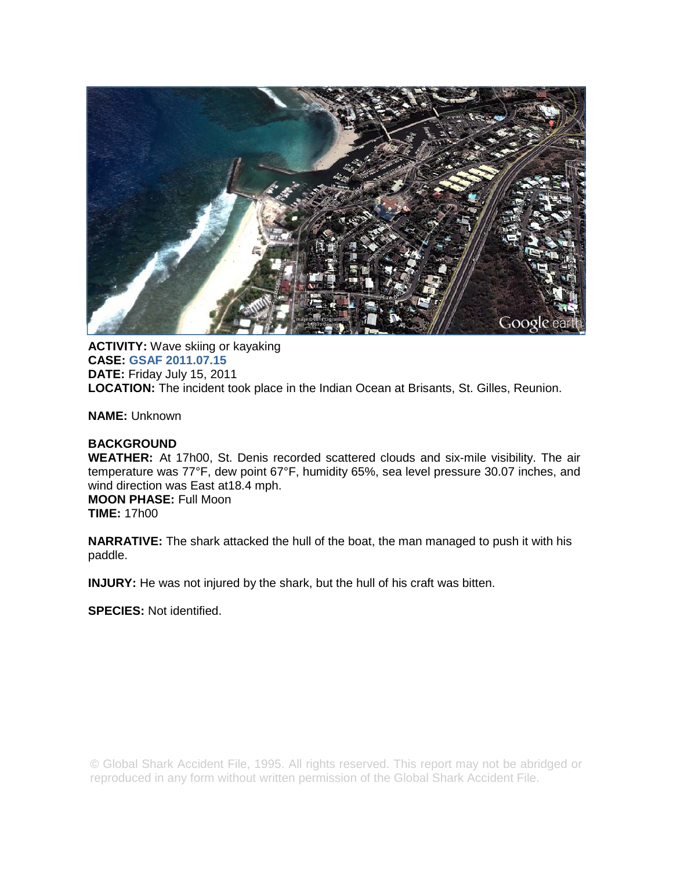

**ACTIVITY:** Wave skiing or kayaking **CASE: GSAF 2011.07.15 DATE:** Friday July 15, 2011 **LOCATION:** The incident took place in the Indian Ocean at Brisants, St. Gilles, Reunion.

**NAME:** Unknown

# **BACKGROUND**

**WEATHER:** At 17h00, St. Denis recorded scattered clouds and six-mile visibility. The air temperature was 77°F, dew point 67°F, humidity 65%, sea level pressure 30.07 inches, and wind direction was East at18.4 mph. **MOON PHASE:** Full Moon **TIME:** 17h00

**NARRATIVE:** The shark attacked the hull of the boat, the man managed to push it with his paddle.

**INJURY:** He was not injured by the shark, but the hull of his craft was bitten.

**SPECIES:** Not identified.

© Global Shark Accident File, 1995. All rights reserved. This report may not be abridged or reproduced in any form without written permission of the Global Shark Accident File.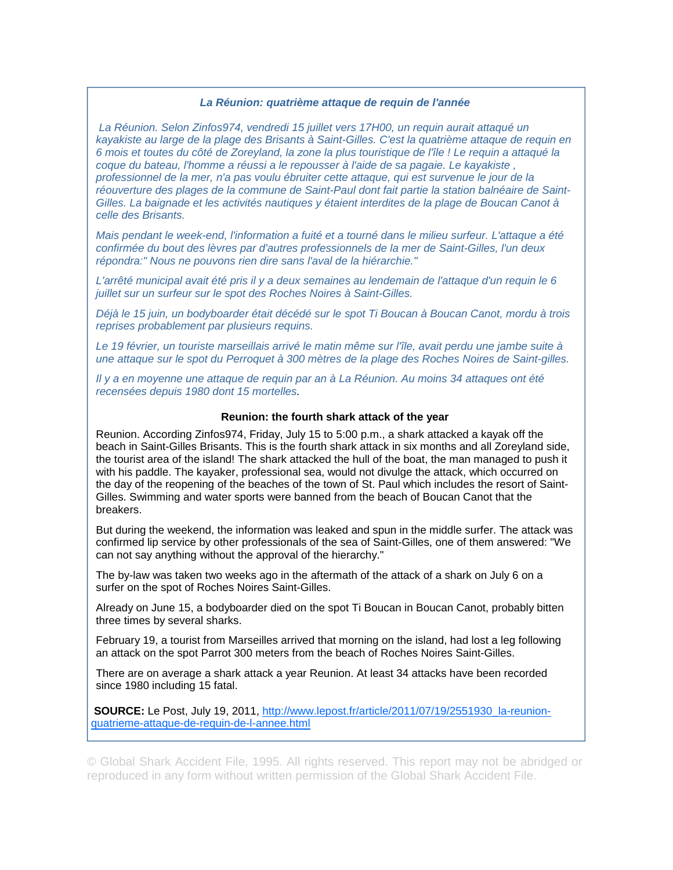## *La Réunion: quatrième attaque de requin de l'année*

 *La Réunion. Selon Zinfos974, vendredi 15 juillet vers 17H00, un requin aurait attaqué un kayakiste au large de la plage des Brisants à Saint-Gilles. C'est la quatrième attaque de requin en 6 mois et toutes du côté de Zoreyland, la zone la plus touristique de l'île ! Le requin a attaqué la coque du bateau, l'homme a réussi a le repousser à l'aide de sa pagaie. Le kayakiste , professionnel de la mer, n'a pas voulu ébruiter cette attaque, qui est survenue le jour de la réouverture des plages de la commune de Saint-Paul dont fait partie la station balnéaire de Saint-Gilles. La baignade et les activités nautiques y étaient interdites de la plage de Boucan Canot à celle des Brisants.* 

*Mais pendant le week-end, l'information a fuité et a tourné dans le milieu surfeur. L'attaque a été confirmée du bout des lèvres par d'autres professionnels de la mer de Saint-Gilles, l'un deux répondra:" Nous ne pouvons rien dire sans l'aval de la hiérarchie."* 

*L'arrêté municipal avait été pris il y a deux semaines au lendemain de l'attaque d'un requin le 6 juillet sur un surfeur sur le spot des Roches Noires à Saint-Gilles.* 

*Déjà le 15 juin, un bodyboarder était décédé sur le spot Ti Boucan à Boucan Canot, mordu à trois reprises probablement par plusieurs requins.* 

*Le 19 février, un touriste marseillais arrivé le matin même sur l'île, avait perdu une jambe suite à une attaque sur le spot du Perroquet à 300 mètres de la plage des Roches Noires de Saint-gilles.* 

*Il y a en moyenne une attaque de requin par an à La Réunion. Au moins 34 attaques ont été recensées depuis 1980 dont 15 mortelles.* 

## **Reunion: the fourth shark attack of the year**

Reunion. According Zinfos974, Friday, July 15 to 5:00 p.m., a shark attacked a kayak off the beach in Saint-Gilles Brisants. This is the fourth shark attack in six months and all Zoreyland side, the tourist area of the island! The shark attacked the hull of the boat, the man managed to push it with his paddle. The kayaker, professional sea, would not divulge the attack, which occurred on the day of the reopening of the beaches of the town of St. Paul which includes the resort of Saint-Gilles. Swimming and water sports were banned from the beach of Boucan Canot that the breakers.

But during the weekend, the information was leaked and spun in the middle surfer. The attack was confirmed lip service by other professionals of the sea of Saint-Gilles, one of them answered: "We can not say anything without the approval of the hierarchy."

The by-law was taken two weeks ago in the aftermath of the attack of a shark on July 6 on a surfer on the spot of Roches Noires Saint-Gilles.

Already on June 15, a bodyboarder died on the spot Ti Boucan in Boucan Canot, probably bitten three times by several sharks.

February 19, a tourist from Marseilles arrived that morning on the island, had lost a leg following an attack on the spot Parrot 300 meters from the beach of Roches Noires Saint-Gilles.

There are on average a shark attack a year Reunion. At least 34 attacks have been recorded since 1980 including 15 fatal.

**SOURCE:** Le Post, July 19, 2011, http://www.lepost.fr/article/2011/07/19/2551930 la-reunionquatrieme-attaque-de-requin-de-l-annee.html

© Global Shark Accident File, 1995. All rights reserved. This report may not be abridged or reproduced in any form without written permission of the Global Shark Accident File.